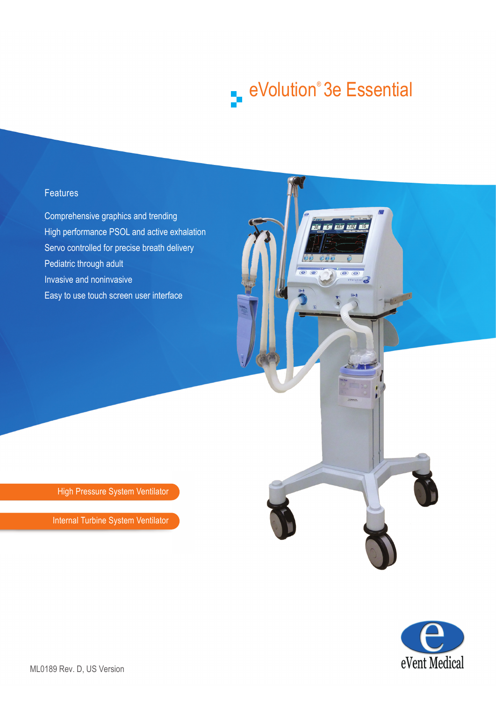# eVolution® 3e Essential

20 6 467 202 15

 $\vec{r}$ 

# **Features**

Comprehensive graphics and trending High performance PSOL and active exhalation Servo controlled for precise breath delivery Pediatric through adult Invasive and noninvasive Easy to use touch screen user interface

High Pressure System Ventilator

Internal Turbine System Ventilator